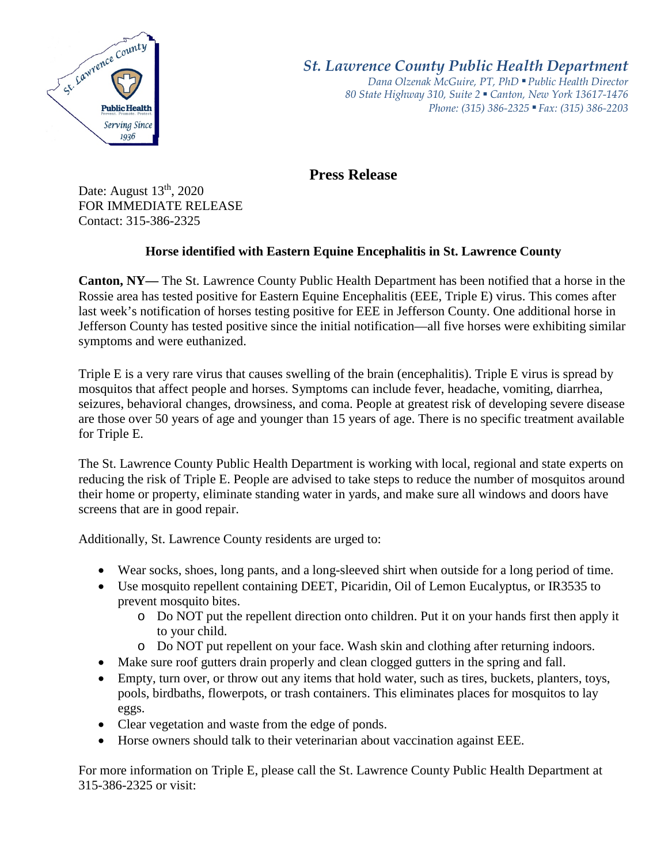

*St. Lawrence County Public Health Department*

*Dana Olzenak McGuire, PT, PhD ■ Public Health Director 80 State Highway 310, Suite 2 ■ Canton, New York 13617-1476 Phone: (315) 386-2325* ■ *Fax: (315) 386-2203*

**Press Release** 

Date: August  $13<sup>th</sup>$ , 2020 FOR IMMEDIATE RELEASE Contact: 315-386-2325

## **Horse identified with Eastern Equine Encephalitis in St. Lawrence County**

**Canton, NY—** The St. Lawrence County Public Health Department has been notified that a horse in the Rossie area has tested positive for Eastern Equine Encephalitis (EEE, Triple E) virus. This comes after last week's notification of horses testing positive for EEE in Jefferson County. One additional horse in Jefferson County has tested positive since the initial notification—all five horses were exhibiting similar symptoms and were euthanized.

Triple E is a very rare virus that causes swelling of the brain (encephalitis). Triple E virus is spread by mosquitos that affect people and horses. Symptoms can include fever, headache, vomiting, diarrhea, seizures, behavioral changes, drowsiness, and coma. People at greatest risk of developing severe disease are those over 50 years of age and younger than 15 years of age. There is no specific treatment available for Triple E.

The St. Lawrence County Public Health Department is working with local, regional and state experts on reducing the risk of Triple E. People are advised to take steps to reduce the number of mosquitos around their home or property, eliminate standing water in yards, and make sure all windows and doors have screens that are in good repair.

Additionally, St. Lawrence County residents are urged to:

- Wear socks, shoes, long pants, and a long-sleeved shirt when outside for a long period of time.
- Use mosquito repellent containing DEET, Picaridin, Oil of Lemon Eucalyptus, or IR3535 to prevent mosquito bites.
	- o Do NOT put the repellent direction onto children. Put it on your hands first then apply it to your child.
	- o Do NOT put repellent on your face. Wash skin and clothing after returning indoors.
- Make sure roof gutters drain properly and clean clogged gutters in the spring and fall.
- Empty, turn over, or throw out any items that hold water, such as tires, buckets, planters, toys, pools, birdbaths, flowerpots, or trash containers. This eliminates places for mosquitos to lay eggs.
- Clear vegetation and waste from the edge of ponds.
- Horse owners should talk to their veterinarian about vaccination against EEE.

For more information on Triple E, please call the St. Lawrence County Public Health Department at 315-386-2325 or visit: